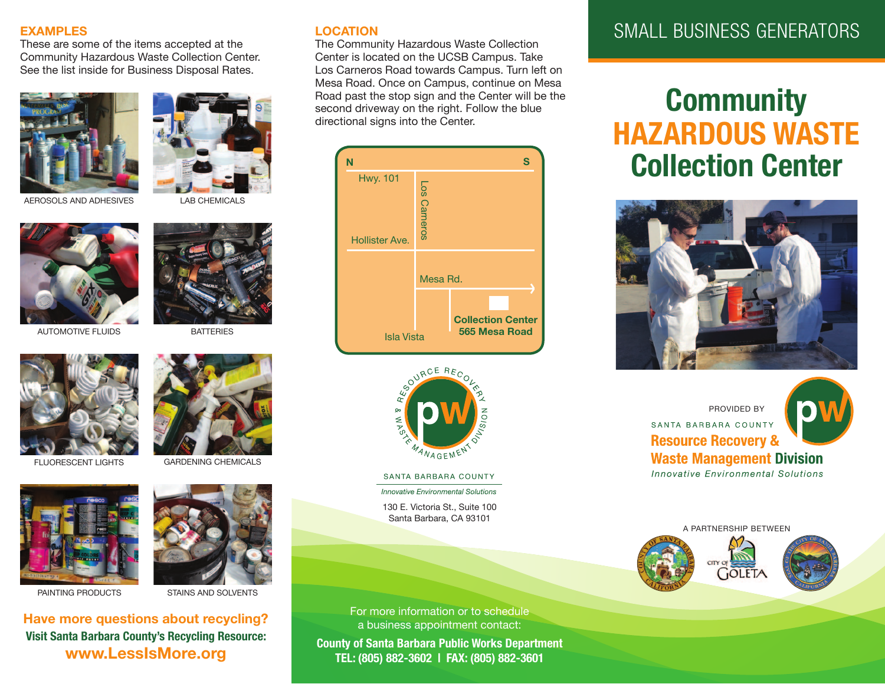#### **EXAMPLES**

These are some of the items accepted at the Community Hazardous Waste Collection Center. See the list inside for Business Disposal Rates.





AEROSOLS AND ADHESIVES LAB CHEMICALS



AUTOMOTive FLUiDS



**BATTERIES** 









#### PAINTING PRODUCTS STAINS AND SOLVENTS

**Have more questions about recycling? Visit Santa Barbara County's Recycling Resource: www.LessIsMore.org**

#### **LOCATION**

The Community Hazardous Waste Collection Center is located on the UCSB Campus. Take Los Carneros Road towards Campus. Turn left on Mesa Road. Once on Campus, continue on Mesa Road past the stop sign and the Center will be the second driveway on the right. Follow the blue directional signs into the Center.





SANTA BARBARA COUNTY

**Innovative Environmental Solutions** 

130 e. victoria St., Suite 100 Santa Barbara, CA 93101

For more information or to schedule a business appointment contact:

**County of Santa Barbara Public Works Department TEL: (805) 882-3602 | FAX: (805) 882-3601**

# SMALL BUSINESS GENERATORS

# **Community HAZARDOUS WASTE Collection Center**



PROviDeD By SANTA BARBARA COUNTY **Resource Recovery & Waste Management Division** 

Innovative Environmental Solutions